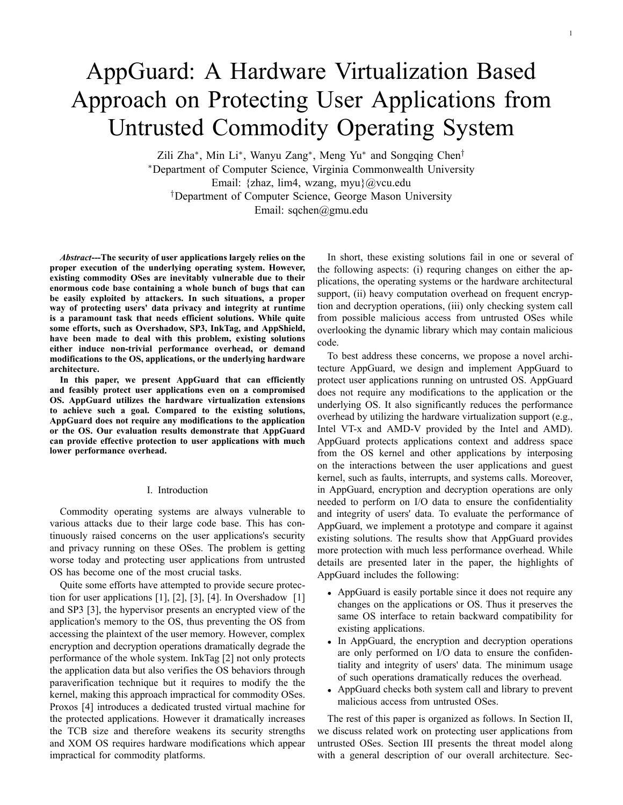# AppGuard: A Hardware Virtualization Based Approach on Protecting User Applications from Untrusted Commodity Operating System

Zili Zha*∗* , Min Li*∗* , Wanyu Zang*∗* , Meng Yu*∗* and Songqing Chen*† ∗*Department of Computer Science, Virginia Commonwealth University Email: {zhaz, lim4, wzang, myu}@vcu.edu *†*Department of Computer Science, George Mason University Email: sqchen@gmu.edu

*Abstract***---The security of user applications largely relies on the proper execution of the underlying operating system. However, existing commodity OSes are inevitably vulnerable due to their enormous code base containing a whole bunch of bugs that can be easily exploited by attackers. In such situations, a proper way of protecting users' data privacy and integrity at runtime is a paramount task that needs efficient solutions. While quite some efforts, such as Overshadow, SP3, InkTag, and AppShield, have been made to deal with this problem, existing solutions either induce non-trivial performance overhead, or demand modifications to the OS, applications, or the underlying hardware architecture.**

**In this paper, we present AppGuard that can efficiently and feasibly protect user applications even on a compromised OS. AppGuard utilizes the hardware virtualization extensions to achieve such a goal. Compared to the existing solutions, AppGuard does not require any modifications to the application or the OS. Our evaluation results demonstrate that AppGuard can provide effective protection to user applications with much lower performance overhead.**

#### I. Introduction

Commodity operating systems are always vulnerable to various attacks due to their large code base. This has continuously raised concerns on the user applications's security and privacy running on these OSes. The problem is getting worse today and protecting user applications from untrusted OS has become one of the most crucial tasks.

Quite some efforts have attempted to provide secure protection for user applications  $[1]$ ,  $[2]$ ,  $[3]$ ,  $[4]$ . In Overshadow  $[1]$ and SP3 [3], the hypervisor presents an encrypted view of the application's memory to the OS, thus preventing the OS from accessing the plaintext of the user memory. However, complex encryption and decryption operations dramatically degrade the performance of the whole system. InkTag [2] not only protects the application data but also verifies the OS behaviors through paraverification technique but it requires to modify the the kernel, making this approach impractical for commodity OSes. Proxos [4] introduces a dedicated trusted virtual machine for the protected applications. However it dramatically increases the TCB size and therefore weakens its security strengths and XOM OS requires hardware modifications which appear impractical for commodity platforms.

In short, these existing solutions fail in one or several of the following aspects: (i) requring changes on either the applications, the operating systems or the hardware architectural support, (ii) heavy computation overhead on frequent encryption and decryption operations, (iii) only checking system call from possible malicious access from untrusted OSes while overlooking the dynamic library which may contain malicious code.

To best address these concerns, we propose a novel architecture AppGuard, we design and implement AppGuard to protect user applications running on untrusted OS. AppGuard does not require any modifications to the application or the underlying OS. It also significantly reduces the performance overhead by utilizing the hardware virtualization support (e.g., Intel VT-x and AMD-V provided by the Intel and AMD). AppGuard protects applications context and address space from the OS kernel and other applications by interposing on the interactions between the user applications and guest kernel, such as faults, interrupts, and systems calls. Moreover, in AppGuard, encryption and decryption operations are only needed to perform on I/O data to ensure the confidentiality and integrity of users' data. To evaluate the performance of AppGuard, we implement a prototype and compare it against existing solutions. The results show that AppGuard provides more protection with much less performance overhead. While details are presented later in the paper, the highlights of AppGuard includes the following:

- *•* AppGuard is easily portable since it does not require any changes on the applications or OS. Thus it preserves the same OS interface to retain backward compatibility for existing applications.
- In AppGuard, the encryption and decryption operations are only performed on I/O data to ensure the confidentiality and integrity of users' data. The minimum usage of such operations dramatically reduces the overhead.
- *•* AppGuard checks both system call and library to prevent malicious access from untrusted OSes.

The rest of this paper is organized as follows. In Section II, we discuss related work on protecting user applications from untrusted OSes. Section III presents the threat model along with a general description of our overall architecture. Sec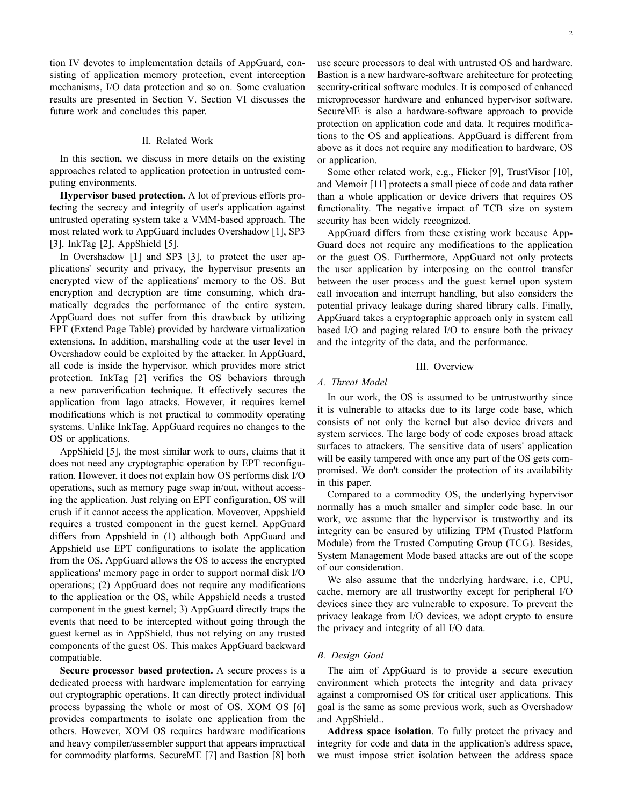tion IV devotes to implementation details of AppGuard, consisting of application memory protection, event interception mechanisms, I/O data protection and so on. Some evaluation results are presented in Section V. Section VI discusses the future work and concludes this paper.

# II. Related Work

In this section, we discuss in more details on the existing approaches related to application protection in untrusted computing environments.

**Hypervisor based protection.** A lot of previous efforts protecting the secrecy and integrity of user's application against untrusted operating system take a VMM-based approach. The most related work to AppGuard includes Overshadow [1], SP3 [3], InkTag [2], AppShield [5].

In Overshadow [1] and SP3 [3], to protect the user applications' security and privacy, the hypervisor presents an encrypted view of the applications' memory to the OS. But encryption and decryption are time consuming, which dramatically degrades the performance of the entire system. AppGuard does not suffer from this drawback by utilizing EPT (Extend Page Table) provided by hardware virtualization extensions. In addition, marshalling code at the user level in Overshadow could be exploited by the attacker. In AppGuard, all code is inside the hypervisor, which provides more strict protection. InkTag [2] verifies the OS behaviors through a new paraverification technique. It effectively secures the application from Iago attacks. However, it requires kernel modifications which is not practical to commodity operating systems. Unlike InkTag, AppGuard requires no changes to the OS or applications.

AppShield [5], the most similar work to ours, claims that it does not need any cryptographic operation by EPT reconfiguration. However, it does not explain how OS performs disk I/O operations, such as memory page swap in/out, without accessing the application. Just relying on EPT configuration, OS will crush if it cannot access the application. Moveover, Appshield requires a trusted component in the guest kernel. AppGuard differs from Appshield in (1) although both AppGuard and Appshield use EPT configurations to isolate the application from the OS, AppGuard allows the OS to access the encrypted applications' memory page in order to support normal disk I/O operations; (2) AppGuard does not require any modifications to the application or the OS, while Appshield needs a trusted component in the guest kernel; 3) AppGuard directly traps the events that need to be intercepted without going through the guest kernel as in AppShield, thus not relying on any trusted components of the guest OS. This makes AppGuard backward compatiable.

**Secure processor based protection.** A secure process is a dedicated process with hardware implementation for carrying out cryptographic operations. It can directly protect individual process bypassing the whole or most of OS. XOM OS [6] provides compartments to isolate one application from the others. However, XOM OS requires hardware modifications and heavy compiler/assembler support that appears impractical for commodity platforms. SecureME [7] and Bastion [8] both use secure processors to deal with untrusted OS and hardware. Bastion is a new hardware-software architecture for protecting security-critical software modules. It is composed of enhanced microprocessor hardware and enhanced hypervisor software. SecureME is also a hardware-software approach to provide protection on application code and data. It requires modifications to the OS and applications. AppGuard is different from above as it does not require any modification to hardware, OS or application.

Some other related work, e.g., Flicker [9], TrustVisor [10], and Memoir [11] protects a small piece of code and data rather than a whole application or device drivers that requires OS functionality. The negative impact of TCB size on system security has been widely recognized.

AppGuard differs from these existing work because App-Guard does not require any modifications to the application or the guest OS. Furthermore, AppGuard not only protects the user application by interposing on the control transfer between the user process and the guest kernel upon system call invocation and interrupt handling, but also considers the potential privacy leakage during shared library calls. Finally, AppGuard takes a cryptographic approach only in system call based I/O and paging related I/O to ensure both the privacy and the integrity of the data, and the performance.

#### III. Overview

# *A. Threat Model*

In our work, the OS is assumed to be untrustworthy since it is vulnerable to attacks due to its large code base, which consists of not only the kernel but also device drivers and system services. The large body of code exposes broad attack surfaces to attackers. The sensitive data of users' application will be easily tampered with once any part of the OS gets compromised. We don't consider the protection of its availability in this paper.

Compared to a commodity OS, the underlying hypervisor normally has a much smaller and simpler code base. In our work, we assume that the hypervisor is trustworthy and its integrity can be ensured by utilizing TPM (Trusted Platform Module) from the Trusted Computing Group (TCG). Besides, System Management Mode based attacks are out of the scope of our consideration.

We also assume that the underlying hardware, i.e, CPU, cache, memory are all trustworthy except for peripheral I/O devices since they are vulnerable to exposure. To prevent the privacy leakage from I/O devices, we adopt crypto to ensure the privacy and integrity of all I/O data.

# *B. Design Goal*

The aim of AppGuard is to provide a secure execution environment which protects the integrity and data privacy against a compromised OS for critical user applications. This goal is the same as some previous work, such as Overshadow and AppShield..

**Address space isolation**. To fully protect the privacy and integrity for code and data in the application's address space, we must impose strict isolation between the address space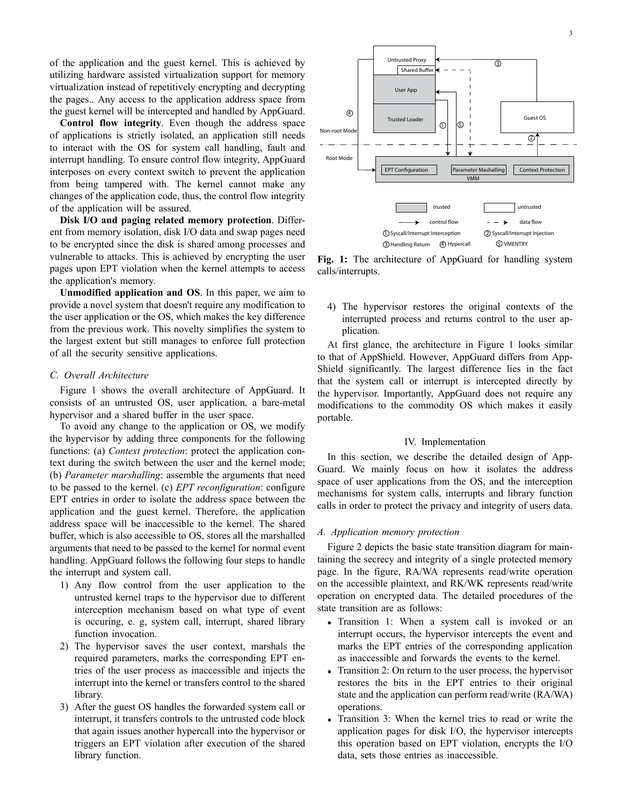of the application and the guest kernel. This is achieved by utilizing hardware assisted virtualization support for memory virtualization instead of repetitively encrypting and decrypting the pages.. Any access to the application address space from the guest kernel will be intercepted and handled by AppGuard.

**Control flow integrity**. Even though the address space of applications is strictly isolated, an application still needs to interact with the OS for system call handling, fault and interrupt handling. To ensure control flow integrity, AppGuard interposes on every context switch to prevent the application from being tampered with. The kernel cannot make any changes of the application code, thus, the control flow integrity of the application will be assured.

**Disk I/O and paging related memory protection**. Different from memory isolation, disk I/O data and swap pages need to be encrypted since the disk is shared among processes and vulnerable to attacks. This is achieved by encrypting the user pages upon EPT violation when the kernel attempts to access the application's memory.

**Unmodified application and OS**. In this paper, we aim to provide a novel system that doesn't require any modification to the user application or the OS, which makes the key difference from the previous work. This novelty simplifies the system to the largest extent but still manages to enforce full protection of all the security sensitive applications.

# *C. Overall Architecture*

Figure 1 shows the overall architecture of AppGuard. It consists of an untrusted OS, user application, a bare-metal hypervisor and a shared buffer in the user space.

To avoid any change to the application or OS, we modify the hypervisor by adding three components for the following functions: (a) *Context protection*: protect the application context during the switch between the user and the kernel mode; (b) *Parameter marshalling*: assemble the arguments that need to be passed to the kernel. (c) *EPT reconfiguration*: configure EPT entries in order to isolate the address space between the application and the guest kernel. Therefore, the application address space will be inaccessible to the kernel. The shared buffer, which is also accessible to OS, stores all the marshalled arguments that need to be passed to the kernel for normal event handling. AppGuard follows the following four steps to handle the interrupt and system call.

- 1) Any flow control from the user application to the untrusted kernel traps to the hypervisor due to different interception mechanism based on what type of event is occuring, e. g, system call, interrupt, shared library function invocation.
- 2) The hypervisor saves the user context, marshals the required parameters, marks the corresponding EPT entries of the user process as inaccessible and injects the interrupt into the kernel or transfers control to the shared library.
- 3) After the guest OS handles the forwarded system call or interrupt, it transfers controls to the untrusted code block that again issues another hypercall into the hypervisor or triggers an EPT violation after execution of the shared library function.



**Fig. 1:** The architecture of AppGuard for handling system calls/interrupts.

4) The hypervisor restores the original contexts of the interrupted process and returns control to the user application.

At first glance, the architecture in Figure 1 looks similar to that of AppShield. However, AppGuard differs from App-Shield significantly. The largest difference lies in the fact that the system call or interrupt is intercepted directly by the hypervisor. Importantly, AppGuard does not require any modifications to the commodity OS which makes it easily portable.

### IV. Implementation

In this section, we describe the detailed design of App-Guard. We mainly focus on how it isolates the address space of user applications from the OS, and the interception mechanisms for system calls, interrupts and library function calls in order to protect the privacy and integrity of users data.

### *A. Application memory protection*

Figure 2 depicts the basic state transition diagram for maintaining the secrecy and integrity of a single protected memory page. In the figure, RA/WA represents read/write operation on the accessible plaintext, and RK/WK represents read/write operation on encrypted data. The detailed procedures of the state transition are as follows:

- *•* Transition 1: When a system call is invoked or an interrupt occurs, the hypervisor intercepts the event and marks the EPT entries of the corresponding application as inaccessible and forwards the events to the kernel.
- Transition 2: On return to the user process, the hypervisor restores the bits in the EPT entries to their original state and the application can perform read/write (RA/WA) operations.
- Transition 3: When the kernel tries to read or write the application pages for disk I/O, the hypervisor intercepts this operation based on EPT violation, encrypts the I/O data, sets those entries as inaccessible.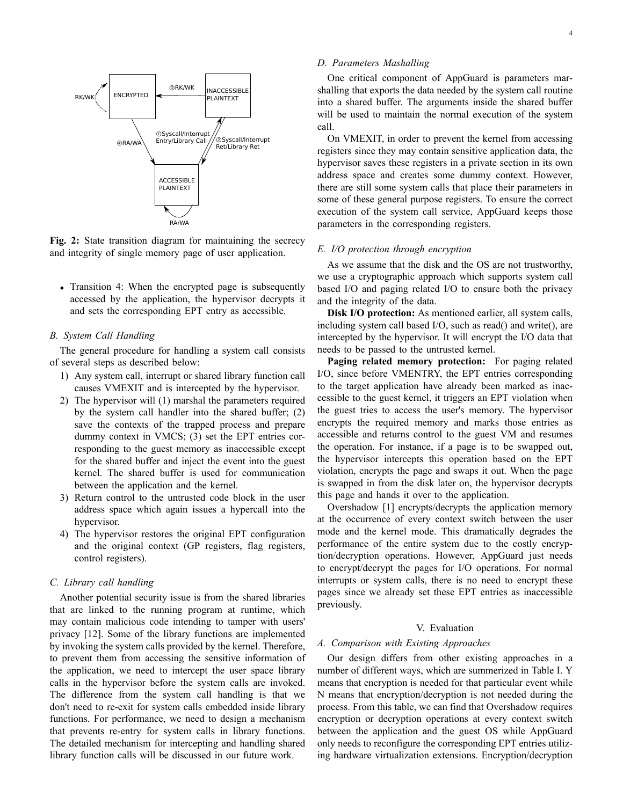

**Fig. 2:** State transition diagram for maintaining the secrecy and integrity of single memory page of user application.

• Transition 4: When the encrypted page is subsequently accessed by the application, the hypervisor decrypts it and sets the corresponding EPT entry as accessible.

# *B. System Call Handling*

The general procedure for handling a system call consists of several steps as described below:

- 1) Any system call, interrupt or shared library function call causes VMEXIT and is intercepted by the hypervisor.
- 2) The hypervisor will (1) marshal the parameters required by the system call handler into the shared buffer; (2) save the contexts of the trapped process and prepare dummy context in VMCS; (3) set the EPT entries corresponding to the guest memory as inaccessible except for the shared buffer and inject the event into the guest kernel. The shared buffer is used for communication between the application and the kernel.
- 3) Return control to the untrusted code block in the user address space which again issues a hypercall into the hypervisor.
- 4) The hypervisor restores the original EPT configuration and the original context (GP registers, flag registers, control registers).

# *C. Library call handling*

Another potential security issue is from the shared libraries that are linked to the running program at runtime, which may contain malicious code intending to tamper with users' privacy [12]. Some of the library functions are implemented by invoking the system calls provided by the kernel. Therefore, to prevent them from accessing the sensitive information of the application, we need to intercept the user space library calls in the hypervisor before the system calls are invoked. The difference from the system call handling is that we don't need to re-exit for system calls embedded inside library functions. For performance, we need to design a mechanism that prevents re-entry for system calls in library functions. The detailed mechanism for intercepting and handling shared library function calls will be discussed in our future work.

# *D. Parameters Mashalling*

One critical component of AppGuard is parameters marshalling that exports the data needed by the system call routine into a shared buffer. The arguments inside the shared buffer will be used to maintain the normal execution of the system call.

On VMEXIT, in order to prevent the kernel from accessing registers since they may contain sensitive application data, the hypervisor saves these registers in a private section in its own address space and creates some dummy context. However, there are still some system calls that place their parameters in some of these general purpose registers. To ensure the correct execution of the system call service, AppGuard keeps those parameters in the corresponding registers.

### *E. I/O protection through encryption*

As we assume that the disk and the OS are not trustworthy, we use a cryptographic approach which supports system call based I/O and paging related I/O to ensure both the privacy and the integrity of the data.

**Disk I/O protection:** As mentioned earlier, all system calls, including system call based I/O, such as read() and write(), are intercepted by the hypervisor. It will encrypt the I/O data that needs to be passed to the untrusted kernel.

**Paging related memory protection:** For paging related I/O, since before VMENTRY, the EPT entries corresponding to the target application have already been marked as inaccessible to the guest kernel, it triggers an EPT violation when the guest tries to access the user's memory. The hypervisor encrypts the required memory and marks those entries as accessible and returns control to the guest VM and resumes the operation. For instance, if a page is to be swapped out, the hypervisor intercepts this operation based on the EPT violation, encrypts the page and swaps it out. When the page is swapped in from the disk later on, the hypervisor decrypts this page and hands it over to the application.

Overshadow [1] encrypts/decrypts the application memory at the occurrence of every context switch between the user mode and the kernel mode. This dramatically degrades the performance of the entire system due to the costly encryption/decryption operations. However, AppGuard just needs to encrypt/decrypt the pages for I/O operations. For normal interrupts or system calls, there is no need to encrypt these pages since we already set these EPT entries as inaccessible previously.

#### V. Evaluation

#### *A. Comparison with Existing Approaches*

Our design differs from other existing approaches in a number of different ways, which are summerized in Table I. Y means that encryption is needed for that particular event while N means that encryption/decryption is not needed during the process. From this table, we can find that Overshadow requires encryption or decryption operations at every context switch between the application and the guest OS while AppGuard only needs to reconfigure the corresponding EPT entries utilizing hardware virtualization extensions. Encryption/decryption